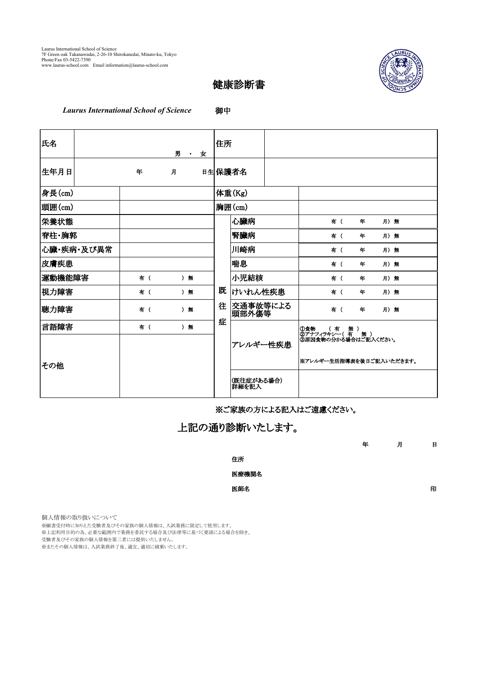

## 健康診断書

*Laurus International School of Science* 御中

| 氏名         |  |     |   | 男<br>$\sim 10^{-11}$ | 女 | 住所                  |                   |  |                          |     |   |      |  |
|------------|--|-----|---|----------------------|---|---------------------|-------------------|--|--------------------------|-----|---|------|--|
| 生年月日       |  | 年   | 月 |                      |   |                     | 日生保護者名            |  |                          |     |   |      |  |
| 身長(cm)     |  |     |   |                      |   |                     | 体重(Kg)            |  |                          |     |   |      |  |
| 頭囲(cm)     |  |     |   |                      |   |                     | 胸囲(cm)            |  |                          |     |   |      |  |
| 栄養状態       |  |     |   |                      |   |                     | 心臟病               |  |                          | 有 ( | 年 | 月) 無 |  |
| 脊柱・胸郭      |  |     |   |                      |   |                     | 腎臟病               |  |                          | 有 ( | 年 | 月) 無 |  |
| 心臟・疾病・及び異常 |  |     |   |                      |   |                     | 川崎病               |  |                          | 有 ( | 年 | 月)無  |  |
| 皮膚疾患       |  |     |   |                      |   |                     | 喘息                |  |                          | 有 ( | 年 | 月) 無 |  |
| 運動機能障害     |  | 有 ( |   | ) 無                  |   |                     | 小児結核              |  |                          | 有 ( | 年 | 月) 無 |  |
| 視力障害       |  | 有 ( |   | ) 無                  |   | 既                   | けいれん性疾患           |  |                          | 有 ( | 年 | 月)無  |  |
| 聴力障害       |  | 有 ( |   | ) 無                  |   | 往                   | 交通事故等による<br>頭部外傷等 |  |                          | 有 ( | 年 | 月)無  |  |
| 言語障害       |  | 有 ( |   | ) 無                  |   | 症                   |                   |  |                          |     |   |      |  |
|            |  |     |   |                      |   |                     | アレルギー性疾患          |  |                          |     |   |      |  |
| その他        |  |     |   |                      |   |                     |                   |  | ※アレルギー生活指導表を後日ご記入いただきます。 |     |   |      |  |
|            |  |     |   |                      |   | (既往症がある場合)<br>詳細を記入 |                   |  |                          |     |   |      |  |

※ご家族の方による記入はご遠慮ください。

上記の通り診断いたします。

| 年 | 月 | 日 |
|---|---|---|
|   |   |   |

住所 医療機関名

医師名 しょうしょう しょうしょう しゅうしょう しゅうしょう しゅうしょう 印

個人情報の取り扱いについて

。<br>※願書受付時に知りえた受験者及びその家族の個人情報は、入試業務に限定して使用します。

※上記利用目的の為、必要な範囲内で業務を委託する場合及び法律等に基づく要請による場合を除き、

受験者及びその家族の個人情報を第三者には提供いたしません。

。<br>※またその個人情報は、入試業務終了後、適宜、適切に破棄いたします。